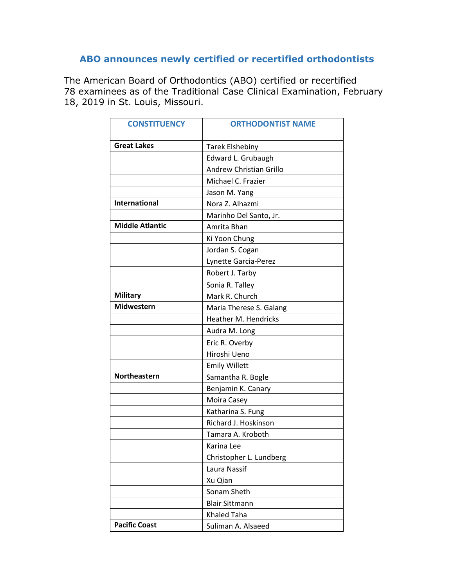## **ABO announces newly certified or recertified orthodontists**

The American Board of Orthodontics (ABO) certified or recertified 78 examinees as of the Traditional Case Clinical Examination, February 18, 2019 in St. Louis, Missouri.

| <b>CONSTITUENCY</b>    | <b>ORTHODONTIST NAME</b>    |
|------------------------|-----------------------------|
| <b>Great Lakes</b>     | <b>Tarek Elshebiny</b>      |
|                        | Edward L. Grubaugh          |
|                        | Andrew Christian Grillo     |
|                        | Michael C. Frazier          |
|                        | Jason M. Yang               |
| <b>International</b>   | Nora Z. Alhazmi             |
|                        | Marinho Del Santo, Jr.      |
| <b>Middle Atlantic</b> | Amrita Bhan                 |
|                        | Ki Yoon Chung               |
|                        | Jordan S. Cogan             |
|                        | Lynette Garcia-Perez        |
|                        | Robert J. Tarby             |
|                        | Sonia R. Talley             |
| <b>Military</b>        | Mark R. Church              |
| <b>Midwestern</b>      | Maria Therese S. Galang     |
|                        | <b>Heather M. Hendricks</b> |
|                        | Audra M. Long               |
|                        | Eric R. Overby              |
|                        | Hiroshi Ueno                |
|                        | <b>Emily Willett</b>        |
| <b>Northeastern</b>    | Samantha R. Bogle           |
|                        | Benjamin K. Canary          |
|                        | Moira Casey                 |
|                        | Katharina S. Fung           |
|                        | Richard J. Hoskinson        |
|                        | Tamara A. Kroboth           |
|                        | Karina Lee                  |
|                        | Christopher L. Lundberg     |
|                        | Laura Nassif                |
|                        | Xu Qian                     |
|                        | Sonam Sheth                 |
|                        | <b>Blair Sittmann</b>       |
|                        | <b>Khaled Taha</b>          |
| <b>Pacific Coast</b>   | Suliman A. Alsaeed          |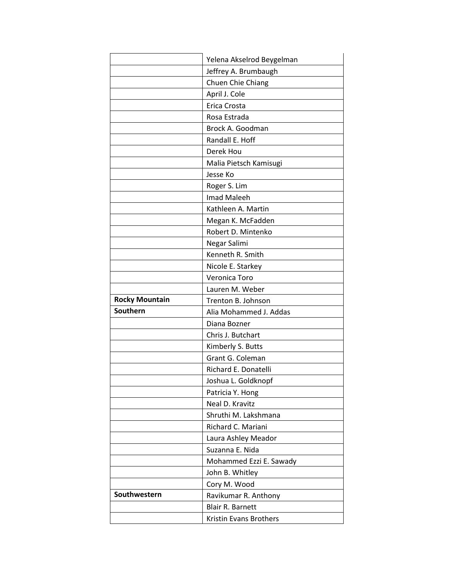|                       | Yelena Akselrod Beygelman |
|-----------------------|---------------------------|
|                       | Jeffrey A. Brumbaugh      |
|                       | Chuen Chie Chiang         |
|                       | April J. Cole             |
|                       | Erica Crosta              |
|                       | Rosa Estrada              |
|                       | Brock A. Goodman          |
|                       | Randall E. Hoff           |
|                       | Derek Hou                 |
|                       | Malia Pietsch Kamisugi    |
|                       | Jesse Ko                  |
|                       | Roger S. Lim              |
|                       | <b>Imad Maleeh</b>        |
|                       | Kathleen A. Martin        |
|                       | Megan K. McFadden         |
|                       | Robert D. Mintenko        |
|                       | Negar Salimi              |
|                       | Kenneth R. Smith          |
|                       | Nicole E. Starkey         |
|                       | Veronica Toro             |
|                       | Lauren M. Weber           |
|                       |                           |
| <b>Rocky Mountain</b> | Trenton B. Johnson        |
| Southern              | Alia Mohammed J. Addas    |
|                       | Diana Bozner              |
|                       | Chris J. Butchart         |
|                       | Kimberly S. Butts         |
|                       | Grant G. Coleman          |
|                       | Richard E. Donatelli      |
|                       | Joshua L. Goldknopf       |
|                       | Patricia Y. Hong          |
|                       | Neal D. Kravitz           |
|                       | Shruthi M. Lakshmana      |
|                       | Richard C. Mariani        |
|                       | Laura Ashley Meador       |
|                       | Suzanna E. Nida           |
|                       | Mohammed Ezzi E. Sawady   |
|                       | John B. Whitley           |
|                       | Cory M. Wood              |
| Southwestern          | Ravikumar R. Anthony      |
|                       | <b>Blair R. Barnett</b>   |